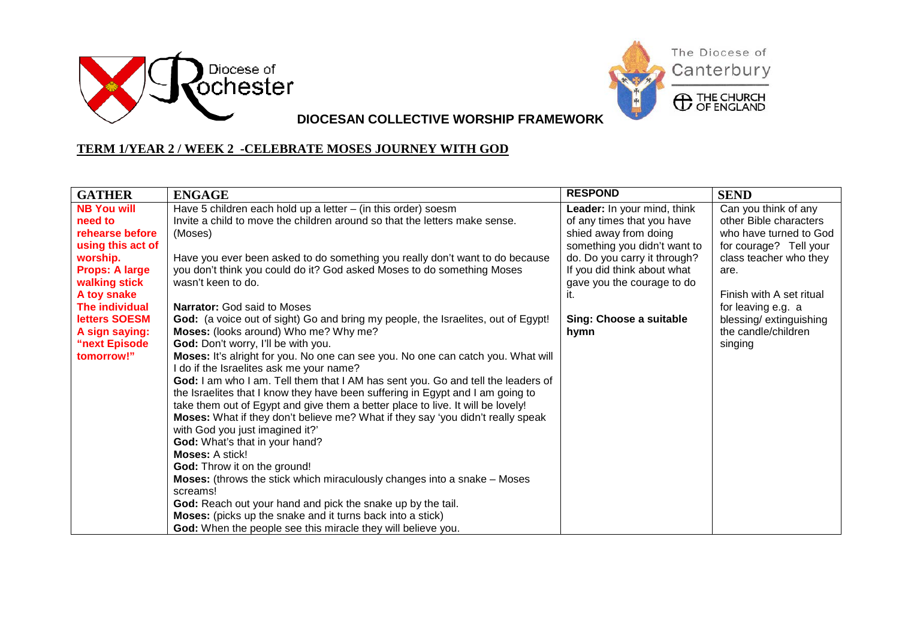



**DIOCESAN COLLECTIVE WORSHIP FRAMEWORK**

## **TERM 1/YEAR 2 / WEEK 2 -CELEBRATE MOSES JOURNEY WITH GOD**

| <b>GATHER</b>         | <b>ENGAGE</b>                                                                                            | <b>RESPOND</b>               | <b>SEND</b>              |
|-----------------------|----------------------------------------------------------------------------------------------------------|------------------------------|--------------------------|
| <b>NB You will</b>    | Have 5 children each hold up a letter $-$ (in this order) soesm                                          | Leader: In your mind, think  | Can you think of any     |
| need to               | Invite a child to move the children around so that the letters make sense.                               | of any times that you have   | other Bible characters   |
| rehearse before       | (Moses)                                                                                                  | shied away from doing        | who have turned to God   |
| using this act of     |                                                                                                          | something you didn't want to | for courage? Tell your   |
| worship.              | Have you ever been asked to do something you really don't want to do because                             | do. Do you carry it through? | class teacher who they   |
| <b>Props: A large</b> | you don't think you could do it? God asked Moses to do something Moses                                   | If you did think about what  | are.                     |
| walking stick         | wasn't keen to do.                                                                                       | gave you the courage to do   |                          |
| A toy snake           |                                                                                                          | it.                          | Finish with A set ritual |
| <b>The individual</b> | <b>Narrator:</b> God said to Moses                                                                       |                              | for leaving e.g. a       |
| letters SOESM         | God: (a voice out of sight) Go and bring my people, the Israelites, out of Egypt!                        | Sing: Choose a suitable      | blessing/extinguishing   |
| A sign saying:        | Moses: (looks around) Who me? Why me?                                                                    | hymn                         | the candle/children      |
| "next Episode         | God: Don't worry, I'll be with you.                                                                      |                              | singing                  |
| tomorrow!"            | Moses: It's alright for you. No one can see you. No one can catch you. What will                         |                              |                          |
|                       | I do if the Israelites ask me your name?                                                                 |                              |                          |
|                       | God: I am who I am. Tell them that I AM has sent you. Go and tell the leaders of                         |                              |                          |
|                       | the Israelites that I know they have been suffering in Egypt and I am going to                           |                              |                          |
|                       | take them out of Egypt and give them a better place to live. It will be lovely!                          |                              |                          |
|                       | Moses: What if they don't believe me? What if they say 'you didn't really speak                          |                              |                          |
|                       | with God you just imagined it?'                                                                          |                              |                          |
|                       | God: What's that in your hand?<br><b>Moses: A stick!</b>                                                 |                              |                          |
|                       |                                                                                                          |                              |                          |
|                       | God: Throw it on the ground!<br>Moses: (throws the stick which miraculously changes into a snake - Moses |                              |                          |
|                       | screams!                                                                                                 |                              |                          |
|                       | God: Reach out your hand and pick the snake up by the tail.                                              |                              |                          |
|                       | Moses: (picks up the snake and it turns back into a stick)                                               |                              |                          |
|                       | God: When the people see this miracle they will believe you.                                             |                              |                          |
|                       |                                                                                                          |                              |                          |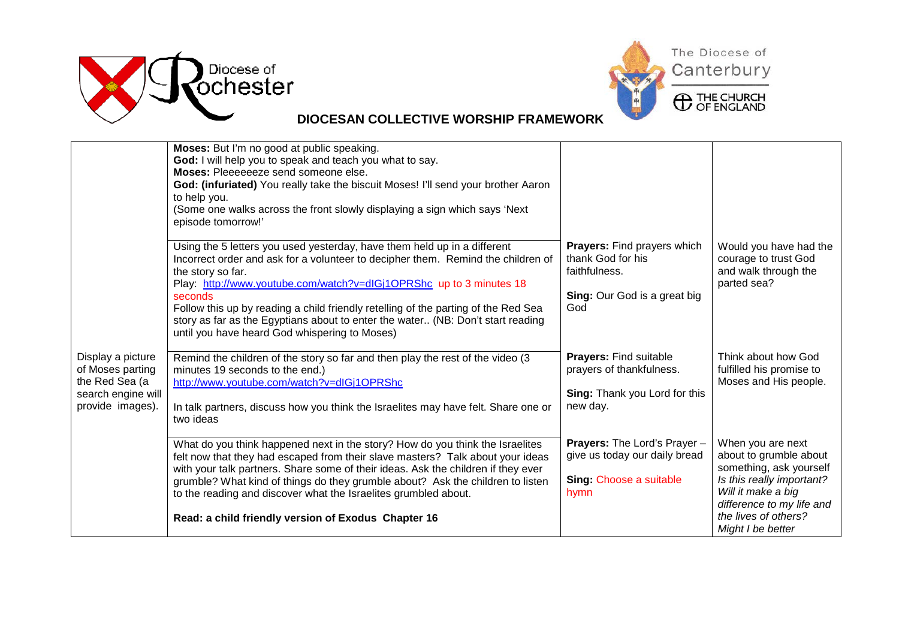



## **DIOCESAN COLLECTIVE WORSHIP FRAMEWORK**

|                                                                                                   | Moses: But I'm no good at public speaking.<br>God: I will help you to speak and teach you what to say.<br>Moses: Pleeeeeeze send someone else.<br>God: (infuriated) You really take the biscuit Moses! I'll send your brother Aaron<br>to help you.<br>(Some one walks across the front slowly displaying a sign which says 'Next<br>episode tomorrow!'                                                                                                                                       |                                                                                                          |                                                                                                                                                                                                     |
|---------------------------------------------------------------------------------------------------|-----------------------------------------------------------------------------------------------------------------------------------------------------------------------------------------------------------------------------------------------------------------------------------------------------------------------------------------------------------------------------------------------------------------------------------------------------------------------------------------------|----------------------------------------------------------------------------------------------------------|-----------------------------------------------------------------------------------------------------------------------------------------------------------------------------------------------------|
|                                                                                                   | Using the 5 letters you used yesterday, have them held up in a different<br>Incorrect order and ask for a volunteer to decipher them. Remind the children of<br>the story so far.<br>Play: http://www.youtube.com/watch?v=dlGj1OPRShc up to 3 minutes 18<br>seconds<br>Follow this up by reading a child friendly retelling of the parting of the Red Sea<br>story as far as the Egyptians about to enter the water (NB: Don't start reading<br>until you have heard God whispering to Moses) | Prayers: Find prayers which<br>thank God for his<br>faithfulness.<br>Sing: Our God is a great big<br>God | Would you have had the<br>courage to trust God<br>and walk through the<br>parted sea?                                                                                                               |
| Display a picture<br>of Moses parting<br>the Red Sea (a<br>search engine will<br>provide images). | Remind the children of the story so far and then play the rest of the video (3<br>minutes 19 seconds to the end.)<br>http://www.youtube.com/watch?v=dIGj1OPRShc<br>In talk partners, discuss how you think the Israelites may have felt. Share one or<br>two ideas                                                                                                                                                                                                                            | Prayers: Find suitable<br>prayers of thankfulness.<br>Sing: Thank you Lord for this<br>new day.          | Think about how God<br>fulfilled his promise to<br>Moses and His people.                                                                                                                            |
|                                                                                                   | What do you think happened next in the story? How do you think the Israelites<br>felt now that they had escaped from their slave masters? Talk about your ideas<br>with your talk partners. Share some of their ideas. Ask the children if they ever<br>grumble? What kind of things do they grumble about? Ask the children to listen<br>to the reading and discover what the Israelites grumbled about.<br>Read: a child friendly version of Exodus Chapter 16                              | Prayers: The Lord's Prayer -<br>give us today our daily bread<br>Sing: Choose a suitable<br>hymn         | When you are next<br>about to grumble about<br>something, ask yourself<br>Is this really important?<br>Will it make a big<br>difference to my life and<br>the lives of others?<br>Might I be better |